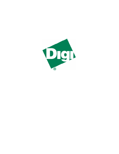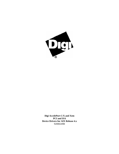

**Digi AccelePort C/X and Xem PCI and ISA Device Drivers for AIX Release 4.x** 92000249B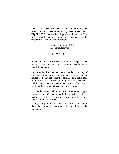TM**C/X ™ , Xem ™, C/CON-16** ™ , **C/CON-8** ™ , **C/X Rack 16** ™ , **PORTS/16em** ™**, PORTS/8em** ™ **, DigiPRINT** ™ and the Digi logo are trademarks of Digi International Inc. All other brand and product names are the trademarks of their respective holders.

> © Digi International Inc. 1999 All Rights Reserved

> > http://www.digi.com

Information in this document is subject to change without notice and does not represent a commitment on the part of Digi International.

Digi provides this document "as is", without warranty of any kind, either expressed or implied, including, but not limited to, the implied warranties of fitness or merchantability for a particular purpose. Digi may make improvements and/or changes in this manual or in the product(s) and/or the program(s) described in this manual at any time.

This product could include technical inaccuracies or typographical errors. Changes are periodically made to the information herein; these changes may be incorporated in new editions of the publication.

Changes are periodically made to the information herein; these changes may be incorporated in new editions of the publication.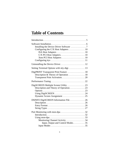# **Table of Contents**

| Configuring the C/X Host Adapters 10                                              |  |
|-----------------------------------------------------------------------------------|--|
|                                                                                   |  |
|                                                                                   |  |
|                                                                                   |  |
|                                                                                   |  |
| Setting Terminal Options with stty-digi 13                                        |  |
| DigiPRINT Transparent Print Feature  18                                           |  |
| Description & Theory of Operation 18                                              |  |
|                                                                                   |  |
|                                                                                   |  |
|                                                                                   |  |
|                                                                                   |  |
| DSINFO DigiSCREEN Information File  26                                            |  |
|                                                                                   |  |
|                                                                                   |  |
| Using mon-dpa $\ldots \ldots \ldots \ldots \ldots \ldots \ldots \ldots \ldots$ 33 |  |
| Monitoring Channel Activity 34                                                    |  |
| Input, Output and Control Modes35                                                 |  |
|                                                                                   |  |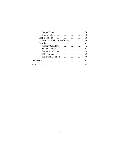| Loop Back Test38                                          |  |
|-----------------------------------------------------------|--|
| Loop Back Plug Specification $\dots \dots \dots \dots 40$ |  |
|                                                           |  |
|                                                           |  |
|                                                           |  |
|                                                           |  |
|                                                           |  |
|                                                           |  |
|                                                           |  |
|                                                           |  |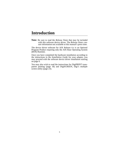# **Introduction**

**Note:** Be sure to read the *Release Notes* that may be included with this software device driver. The *Release Notes* contain information not available at this manual's press time.

The device driver software for AIX Release 4.x is an Optional Program Product requiring only the AIX Base Operating System (BOS) Runtime.

Once you have completed the hardware installation according to the instructions in the *Installation Guide* for your adapter, you may proceed with the software device driver installation starting on page 6.

You may also wish to read the instructions for DigiPRINT transparent printing (page 18) and DigiSCREEN, Digi's multiple screen utility (page 23).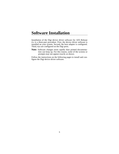# **Software Installation**

Installation of the Digi device driver software for AIX Release 4.x is a three-part procedure. First, the device driver software is installed on your system. Second, the host adapter is configured. Third, ttys are configured on the Digi ports.

**Note:** Software changes more rapidly than printed documentation can keep up. For this reason, some of the screens or prompts may not appear exactly as shown.

Follow the instructions on the following pages to install and configure the Digi device driver software.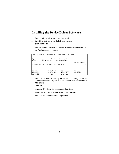### **Installing the Device Driver Software**

- 1. Log onto the system as super-user (root).
- 2. Insert the Digi software diskette, and enter: **smit install\_latest**

The system will display the *Install Software Products at Latest Available Level* screen:

| Install Software Products at Latest Available Level                                          |                 |               |                 |
|----------------------------------------------------------------------------------------------|-----------------|---------------|-----------------|
| Type or select a value for the entry field.<br>Press Enter AFTER making all desired changes. |                 |               |                 |
|                                                                                              |                 |               | [Entry Fields]  |
| * INPUT device / directory for software<br>П                                                 |                 |               |                 |
|                                                                                              |                 |               |                 |
|                                                                                              |                 |               |                 |
| $F1 = He1p$                                                                                  | $F2 = Refresh$  | $F3 = Cancel$ | $F4 = I$ , ist. |
| F5=Reset                                                                                     | $F6 = Ccommand$ | F7=Edit       | $F8 = Image$    |
| $F9 = Shel1$                                                                                 | $F10 = Fx i t$  | $Enterr = Do$ |                 |

3. You will be asked to specify the device containing the installation information. If your 3½" diskette drive is device **/dev/ fd0**, enter:

#### **/dev/fd0**

or press **<F4>** for a list of supported devices.

4. Select the appropriate device and press **<Enter>**. You will now see the following screen:

7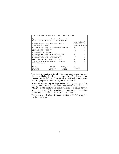|                                           | Install Software Products at Latest Available Level                                          |                      |           |                       |        |
|-------------------------------------------|----------------------------------------------------------------------------------------------|----------------------|-----------|-----------------------|--------|
|                                           | Type or select a value for the entry field.<br>Press Enter AFTER making all desired changes. |                      |           |                       |        |
|                                           |                                                                                              |                      |           | [Entry Fields]        |        |
|                                           | * INPUT device / directory for software                                                      |                      |           | $[\text{/dev/fd0}]$ + |        |
|                                           | * SOFTWARE to install                                                                        |                      |           | [all licensed] +      |        |
|                                           | PREVIEW only?(install operation will NOT occur)                                              |                      |           | n <sub>0</sub>        | $\div$ |
|                                           | COMMIT software updates?                                                                     |                      |           | $n_{\Omega}$          | $+$    |
| SAVE replaced files?                      |                                                                                              | yes                  | $+$       |                       |        |
| ALTERNATE save directory                  |                                                                                              |                      | $\Box$    |                       |        |
| AUTOMATICALLY install requisite software? |                                                                                              | yes                  | $\ddot{}$ |                       |        |
| EXTEND file systems if space needed?      |                                                                                              | yes                  | $\ddot{}$ |                       |        |
| OVERWRITE same or newer versions?         |                                                                                              | $n_{\Omega}$         |           |                       |        |
| VERIFY install and check file sizes?      |                                                                                              | no                   | $\ddot{}$ |                       |        |
| Include corresponding LANGUAGE filesets?  |                                                                                              | yes                  | $\div$    |                       |        |
|                                           | DETAILED output?                                                                             |                      |           | no                    |        |
|                                           |                                                                                              |                      |           |                       |        |
|                                           | $F1 = He1p$                                                                                  | F2=Refresh F3=Cancel |           | $F4 = I.ist$          |        |
|                                           | F5=Reset                                                                                     | F6=Command           | F7=Fdit   | $F8 = Image$          |        |
|                                           | F9=Shell                                                                                     | $F10 = Exit$         | Enter=Do  |                       |        |

This screen contains a list of installation parameters you may change. If this is a first time installation of the Digi device driver, you can use the default values for all of the installation parameters. Simply press <Enter> to begin the installation.

If you are reinstalling the Digi device driver, you may wish to change some of the installation parameters. Use the <F1> ("Help") key to display help information for each parameter you wish to change. After selecting the appropriate installation parameters, press <Enter> to begin the installation.

The system will display information similar to the following during the installation: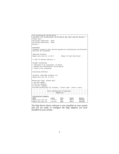| Pre-installation Verification                                                                  |                              |             |                          |                |
|------------------------------------------------------------------------------------------------|------------------------------|-------------|--------------------------|----------------|
| installp: Pre-installation verification may take several minutes.                              |                              |             |                          |                |
| Please wait                                                                                    |                              |             |                          |                |
| Verifying selectionsdone                                                                       |                              |             |                          |                |
| Verifying selectionsdone                                                                       |                              |             |                          |                |
| Results                                                                                        |                              |             |                          |                |
|                                                                                                |                              |             |                          |                |
| <b>SUCCESSES</b>                                                                               |                              |             |                          |                |
| Filesets listed in this section passed pre-installation verification<br>and will be installed. |                              |             |                          |                |
|                                                                                                |                              |             |                          |                |
| Selected Filesets                                                                              |                              |             |                          |                |
| digicx.pci_isa.rte 1.0.0.0                                                                     |                              |             | #Digi C/X and Xem Driver |                |
|                                                                                                |                              |             |                          |                |
| << End of Success Section >>                                                                   |                              |             |                          |                |
|                                                                                                |                              |             |                          |                |
| FILESET STATISTICS                                                                             |                              |             |                          |                |
| 1 Selected to be installed, of which:                                                          |                              |             |                          |                |
| 1 passed pre-installation verification                                                         |                              |             |                          |                |
| 1 Total to be installed                                                                        |                              |             |                          |                |
| Installing Software                                                                            |                              |             |                          |                |
|                                                                                                |                              |             |                          |                |
| installp: APPLYING software for:                                                               |                              |             |                          |                |
| digicx.pci_isa.rte 1.0.0.0                                                                     |                              |             |                          |                |
|                                                                                                |                              |             |                          |                |
| Restoring files, please wait.                                                                  |                              |             |                          |                |
| 1 entries added.                                                                               |                              |             |                          |                |
| 0 entries deleted.                                                                             |                              |             |                          |                |
| 22 entries updated.                                                                            |                              |             |                          |                |
| Finished processing all filesets. (Total time: 1 mins 3 secs)                                  |                              |             |                          |                |
|                                                                                                |                              |             |                          |                |
|                                                                                                | Post-installation Processing |             |                          |                |
|                                                                                                |                              | Summaries:  |                          |                |
|                                                                                                |                              |             |                          |                |
| Installation Summary                                                                           |                              |             |                          |                |
| Name                                                                                           | Level                        | Part        | Event                    | Result         |
| digicx.pci_isa.rte                                                                             | 1.0.0.0                      | USR         | APPLY                    | <b>SUCCESS</b> |
| digicx.pci isa.rte                                                                             | 1.0.0.0                      | <b>ROOT</b> | APPLY                    | <b>SUCCESS</b> |

The Digi device driver software is now installed on your system and you are ready to configure the Digi adapters you have installed on your system.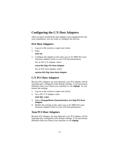### **Configuring the C/X Host Adapters**

After you have installed the host adapters and completed the software installation, you are ready to configure the devices.

#### **ISA Host Adapters**

- 1. Log on to the system as super-user (root).
- 2. Enter

**smit isa**

3. Configure the adapter in the same way as for IBM ISA asynchronous adapters (refer to your AIX documentation):

For an ISA C/X adapter, select:

#### **cxisa ISA Digi C/X Host Adapter**

For an ISA Xem adapter, select:

#### **xemisa ISA Digi Xem Host Adapter**

#### **C/X PCI Host Adapters**

Because PCI adapters are auto detected, your PCI adapter will be automatically configured (with default settings, if not previously defined) when you reboot your machine or run **cfgmgr**. To customize the settings:

- 1. Log on to the system as super-user (root).
- 2. For a PCI C/X adapter, enter: **smit digi\_cxpci**
- 3. Select **Change/Show Characteristics of a Digi PCI Host Adapter**.
- 4. Modify the settings in the same way as for IBM ISA asynchronous adapters (refer to your AIX documentation).

#### **Xem PCI Host Adapters**

Because PCI adapters are auto detected, your PCI adapter will be automatically configured (with default settings, if not previously defined) when you reboot your machine or run **cfgmgr**.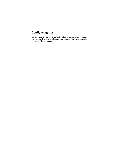## **Configuring ttys**

Configuring ttys on the Digi C/X system is the same as configuring ttys on IBM async adapters. For complete information, refer to your AIX documentation.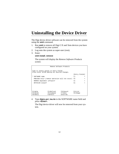# **Uninstalling the Device Driver**

The Digi device driver software can be removed from the system using the **smit** command.

- 1. Run **smit** to remove all Digi C/X and Xem devices you have configured on your system.
- 2. Log onto the system as super-user (root).
- 3. Enter:

#### **smit install\_remove**

The system will display the *Remove Software Products*  screen:

|                                                                                         | Remove Software Products |                      |                         |   |
|-----------------------------------------------------------------------------------------|--------------------------|----------------------|-------------------------|---|
| Type or select values in entry fields.<br>Press Enter AFTER making all desired changes. |                          |                      |                         |   |
|                                                                                         |                          |                      | [Entry Fields]          |   |
| $\star$<br>SOFTWARE name                                                                |                          |                      | Γl                      | ÷ |
| PREVIEW only? (remove operation will not occur) no                                      |                          |                      |                         |   |
| REMOVE dependent software?                                                              |                          | nο                   | ÷                       |   |
| DETAILED output?                                                                        |                          | n <sub>0</sub>       |                         |   |
|                                                                                         |                          |                      |                         |   |
|                                                                                         |                          |                      |                         |   |
|                                                                                         |                          |                      |                         |   |
| $F1 = He1p$<br>F5=Reset                                                                 | F2=Refresh<br>F6=Command | F3=Cancel<br>F7=Fdit | F4=List<br>$F8 = Image$ |   |
| $F9 = Shel1$                                                                            | $F10 = Exit$             | Enter=Do             |                         |   |

4. Type **digicx.pci\_isa.rte** in the SOFTWARE name field and press **<Enter>**.

The Digi device driver will now be removed from your system.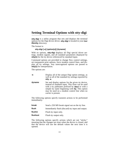### **Setting Terminal Options with stty-digi**

**stty-digi** is a utility program that sets and displays the terminal options for the Digi device driver. **stty-digi** is located in your **/usr /lbin/tty** directory.

The format is:

#### **stty-digi [-a] [option(s)] [ttyname]**

With no options, **stty-digi** displays all Digi special driver settings, modem signals, and all standard parameters displayed by **stty(1)** for the tty device referenced by standard input.

Command options are provided to change flow control settings, set transparent print options, force modem control lines, and display all tty settings. Any unrecognized options are passed to **stty(1)** for interpretation.

The options are:

- **-a** Display all of the unique Digi option settings, as well as all of the standard tty settings reported by **stty -a**.
- **ttyname** Set and display options for the given tty device, instead of standard input. This form can be used with a tty pathname prefixed by **/dev/** or with a simple tty name beginning with **tty**. This option may be used on a modem control line when no carrier is present.

The following options specify transient actions to be performed immediately:

| break    | Send a 250 MS break signal out on the tty line.   |
|----------|---------------------------------------------------|
| flush    | Immediately flush (discard) tty input and output. |
| flushin  | Flush tty input only.                             |
| flushout | Flush tty output only.                            |

The following options specify actions which are not "sticky," meaning that the changes are reset when the device is closed, and that the device will use the default values the next time it is opened.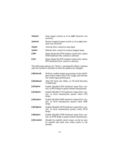| stopout   | Stop output exactly as if an <b>xoff</b> character was<br>received.                       |
|-----------|-------------------------------------------------------------------------------------------|
| startout  | Restart stopped output exactly as if an <b>xon</b> char-<br>acter was received.           |
| stopin    | Activate flow control to stop input.                                                      |
| startin   | Release flow control to resume stopped input.                                             |
| [-]dtr    | Raise [drop] the DTR modem control line, unless<br>DTR hardware flow control is selected. |
| $[-]$ rts | Raise [drop] the RTS modem control line, unless<br>RTS hardware flow control is selected. |

The following options are "sticky", meaning the effects continue until the system is rebooted or until the options are changed.

| [-]fastcook | Perform cooked output processing on the intelli-<br>gent card to reduce host CPU usage, and increase<br>raw mode input performance. |
|-------------|-------------------------------------------------------------------------------------------------------------------------------------|
| [-]fastbaud | Alter the baud rate tables, so 50 baud becomes<br>57,600 baud.                                                                      |
| [-]rtspace  | Enable [disable] RTS hardware input flow con-<br>trol, so RTS drops to pause remote transmission.                                   |
| [-]ctspace  | Enable [disable] CTS hardware output flow con-<br>trol, so local transmission pauses when CTS<br>drops.                             |
| [-]dsrpace  | Enable [disable] DSR hardware output flow con-<br>trol, so local transmission pauses when DSR<br>drops.                             |
| [-]dcdpace  | Enable [disable] DCD hardware output flow con-<br>trol, so local transmission pauses when DCD<br>drops.                             |
| [-]dtrpace  | Enable [disable] DTR hardware input flow con-<br>trol, so DTR drops to pause remote transmission.                                   |
| [-]forcedcd | Disable [re-enable] carrier sense, so the tty may<br>be opened and used even when carrier is not<br>present.                        |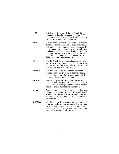| [-]altpin | Switches the function of the DSR and the DCD      |
|-----------|---------------------------------------------------|
|           | inputs on the interface connector, so that DCD is |
|           | available when using an 8-pin RJ-45 connector     |
|           | instead of a 10-pin RJ-45 connector.              |

- **startc** *c* Sets the XON flow control character. The character may be given as a decimal, octal or hexadecimal number. Octal numbers are recognized by the presence of a leading zero, and hexadecimal numbers are denoted by a leading "0x". For example, the standard XON character, <CTRL-Q>, can be entered as "17" (decimal), "021" (octal) or "0x11" (hexadecimal).
- **stopc c** Sets the XOFF flow control character. The character may be given as a decimal, octal, or hexadecimal number (see **startc**, above, for format of octal and hexadecimal numbers).
- **astartc c** Sets auxiliary XON flow control character. The character may be given as a decimal, octal, or hexadecimal number (see **startc**, above, for format of octal and hexadecimal numbers).
- **astopc c** Sets auxiliary XOFF flow control character. The character may be given as a decimal, octal, or hexadecimal number (see **startc**, above, for format of octal and hexadecimal numbers).
- **[-]aixon** Enables auxiliary flow control, so that two unique characters are used for XON and XOFF. If both XOFF characters are received, transmission will not resume until both XON characters are received.
- **[-]2200flow** Use 2200 style flow control on the port. The 2200 terminals support an attached printer and use four flow control characters: terminal XON (0xF8), printer XON (0xF9), terminal XOFF (0xFA) and printer XOFF (0xFB).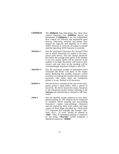- **[-]2200print** The **2200print** flag determines how these flow control characters (see **2200flow**, above) are interpreted. If **2200print** is set, run independent flow control for terminal and transparent print devices. Otherwise, terminal and printer flow control are logically tied together, so if either XOFF character is received, all output is paused until the matching XON character is received.
- **maxcps** *n* Sets the maximum Characters Per Second (CPS) rate at which characters are output to the transparent print device. The rate chosen should be just below the average print speed. If the number is too low, printer speed will be reduced. If the number is too high, the printer will resort to flow control, and user entry on the terminal will be correspondingly impaired. Default is 100 CPS.
- **maxchar** *n* Sets the maximum number of transparent print characters the driver will place in the output queue. Reducing this number increases system overhead; increasing this number delays operator keystroke echo times when the transparent printer is in use. Default is 50 characters.
- **bufsize** *n* Sets the driver's estimate of the size of the transparent printer's input buffer. After a period of inactivity, the driver bursts this many characters to the transparent printer before reducing to the **maxcps** rate selected above. Default is 100 characters.
- **onstr s** Sets the terminal escape sequence to turn transparent printing on. The string **<sup>s</sup>** can be composed of standard ASCII printing and non-printing characters; control (non-printing) characters must be entered by their octal values, and must consist of three digits preceded by a back-slash ("**\**") character. For example, the "Escape" character <Esc>, 33 octal, should be entered as "**\033**". Thus, if transparent printing is turned on by the string "**<Esc>[5i**" (ANSI standard), *s* should be entered as "**\033[5i**".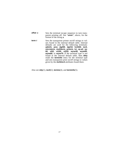| offstr s | Sets the terminal escape sequence to turn trans-<br>parent printing off. See "onstr", above, for the<br>format of the string s.                                                                                                                                                                                                                                                                                                                                                                                                                                                      |
|----------|--------------------------------------------------------------------------------------------------------------------------------------------------------------------------------------------------------------------------------------------------------------------------------------------------------------------------------------------------------------------------------------------------------------------------------------------------------------------------------------------------------------------------------------------------------------------------------------|
| term t   | Sets the transparent printer on/off strings to val-<br>ues found in the internal default table. Internal<br>defaults are used for the following terminals:<br>adm31, ansi, dg200, dg210, hz1500, mc5,<br>microterm, multiterm, pcterm, tvi, vp-a2, vp-<br>60, vt52, vt100, vt220, wyse30, wyse50,<br>wyse60, or wyse75. If the terminal type is not<br>found in the internal default table, then <b>ditty</b><br>reads the <b>terminfo</b> entry for the terminal type<br>and sets transparent print on/off strings to values<br>given by the <b>mc5/mc4</b> attributes found there. |

Also see **stty**(1), **ioctl**(2), **termio**(4), and **terminfo**(5).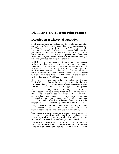### **DigiPRINT Transparent Print Feature**

### **Description & Theory of Operation**

Most terminals have an auxiliary port that can be connected to a serial printer. These terminals support two print modes, Auxiliary and Transparent. If both print modes are OFF, data received by the terminal is simply displayed on the screen. With Auxiliary print mode ON, data received by the terminal is displayed on the screen, and is also transmitted to the printer. With Transparent Print Mode ON, the terminal transmits data received directly to the printer, without displaying it on the screen.

DigiPRINT allows you to use your terminal in a normal manner, while information is also being sent *over the same serial connection from the host* to the printer connected to the terminal's auxiliary printer port. This is "transparent printing." The DigiPRINT software determines whether packets of data are bound for the screen or for the printer, and precedes data bound for the printer with the Transparent Print Mode ON command, and follows it with the Transparent Print Mode OFF command.

Data for the terminal screen has the highest priority, and DigiPRINT sends data to the printer only if there is a break in information being sent to the screen. If continuous data is being transmitted to the terminal device, nothing gets sent to the printer.

Whenever an auxiliary printer port is used, flow control to the printer becomes an issue. If the printer falls behind and invokes flow control, output to both the printer and the terminal is stopped: this is aggravating to the terminal user. The **stty-digi** command provides three parameters to limit printer output and avoid this situation. (See *Setting Terminal Options with stty-digi* on page 13 for a complete description of the **stty-digi** command.)

The parameter **maxcps** limits the maximum printer port character-per-second data rate. This number should be set to the minimum character rate the printer can sustain in typical use.

The parameter **maxchar** limits the number of characters queued to the printer ahead of terminal output. Lower numbers increase system overhead, higher numbers result in keystroke echo delays. A value of 50 is generally a good compromise at 9600 baud.

The parameter **bufsize** should be set to a value just below the printer's buffer size. After a period of inactivity, the driver will burst up to this many characters to the printer to fill the print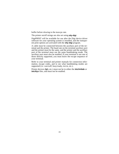buffer before slowing to the maxcps rate.

The printer on/off strings are also set using **stty-digi**.

DigiPRINT will be available for use after the Digi device driver software for your operating system is installed, and the transparent print options are activated with the **stty-digi** program.

A cable must be connected between the auxiliary port of the terminal and the printer. The baud rate on the terminal auxiliary port and the printer must be the same, and the printer and the auxiliary port of the terminal must use the same handshaking mode. The auxiliary port must also be enabled. If your terminal is not one of those directly supported, you must know the escape sequence of your terminal.

Refer to your terminal and printer manuals for connection information, escape codes, and to see what handshaking modes are supported (i.e. xon/xoff, busy/ready, rts/cts, etc.).

Printer devices (**lp1**, etc.) must not be in either the **/etc/inittab** or **/etc/ttys** files, and must not be enabled.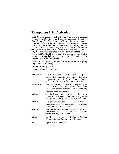### **Transparent Print Activation**

DigiPRINT is activated with **stty-digi**. The **stty-digi** program configures the Digi tty device driver for transparent print options (See *Setting Terminal Options with stty-digi* for a complete description of the **stty-digi** command). The **stty-digi** command must be run each time the machine is booted. Usually, the best way to do this is by adding **stty-digi** commands to your **etc/inittab** system initialization file. Alternatively, you may include the **stty-digi** command sequence in your **.login** or **.profile** files, to ensure that DigiPRINT is activated when you log in. Your System Administrator can help you edit these files. The pathname for **stty-digi** is **/usr/lbin/tty/stty-digi**.

DigiPRINT transparent print Options are set using the **stty-digi** program in the following manner:

#### **stty-digi [option(s)] port**

The command line options are:

| maxcps n  | Sets the maximum Characters Per Second (CPS)<br>rate at which characters are output to the trans-<br>parent print device. See Setting Terminal Options<br>with stty-digi (page 13) for more information. |
|-----------|----------------------------------------------------------------------------------------------------------------------------------------------------------------------------------------------------------|
| maxchar n | Sets the maximum number of transparent print<br>characters the driver will place in the output<br>queue. See Setting Terminal Options with stty-<br>digi for more information.                           |
| bufsize n | Sets the driver's estimate of the size of the trans-<br>parent printer's input buffer. See Setting Termi-<br>nal Options with stty-digi for more information.                                            |
| onstr s   | Sets the terminal escape sequence to turn the<br>transparent printer on. An arbitrary octal charac-<br>ter xxx may be given as <b>\xxx</b> .                                                             |
| offstr s  | Sets the terminal escape sequence to turn the<br>transparent printer off. An arbitrary octal charac-<br>ter xxx may be given as $\forall$ xxx.                                                           |
| term t    | Specifies the terminal type. See Setting Terminal<br>Options with stty-digi for more information.                                                                                                        |
| port      | Specifies the tty device.                                                                                                                                                                                |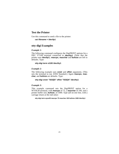#### **Test the Printer**

Use this command to send a file to the printer:

#### **cat filename > /dev/lp1**

#### **stty-digi Examples**

#### *Example 1:*

The following command configures the DigiPRINT options for a DEC VT100 terminal connected to **/dev/tty1**. (Note that the printer uses **/dev/lp1**). **maxcps**, **maxchar** and **bufsize** are left to defaults. Type:

#### **stty-digi term vt100 /dev/tty1**

#### *Example 2:*

The following example uses **onstr** and **offstr** arguments. (This sets the terminal to use ANSI Standard.) Again **maxcps**, **maxchar**, and **bufsize** are defaults. Type:

#### **stty-digi onstr "\033[5i" offstr "\033[4i" /dev/tty1**

#### *Example 3:*

This example command sets the DigiPRINT option for a WYSE30 terminal, with **maxcps** of 75, a **maxchar** of 100, and a printer buffer size, **bufsize**, of 1000. Type (all on one line, with a carriage return at the end only):

**stty-digi term wyse30 maxcps 75 maxchar 100 bufsize 1000 /dev/tty1**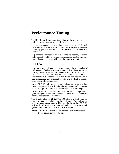# **Performance Tuning**

The Digi device driver is configured to give the best performance under the widest variety of conditions.

Performance under certain conditions can be improved through the use of tunable parameters. As with most tunable parameters, increasing performance in one area decreases performance in other areas.

Digi supports a number of tunable parameters that may be useful under special conditions. These parameters are tunable on a perport basis and may be set with **stty-digi**, **chdev** or **smit**.

#### **EDELAY**

**EDELAY** is a tunable parameter used to determine the number of milliseconds of delay between the time the first character arrives after a period of no characters and notification of its arrival to the host. This is also referred to as the wakeup rate between the host software (FEPOS) and the host device driver. This has the advantage of reducing host overhead by allowing the host to process larger blocks of incoming data.

Larger **EDELAY** values result in more characters being sent in a given time period. This will reduce host processor utilization and character response time and increase overall system throughput.

Smaller **EDELAY** values result in fewer characters being sent in a given time period. This will increase character response time and increase host processor utilization.

The default value for **EDELAY** is 100. This is a good value for normal tty activity including typing and **uucp**. For applications receiving continuous input at high speeds, increasing **EDELAY** will result in lowering host overhead and an increase in overall system throughput. A value of 250 is reasonable.

**Note: EDELAY** is currently the only tunable parameter supported by the device driver software*.*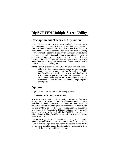### **DigiSCREEN Multiple Screen Utility**

### **Description and Theory of Operation**

DigiSCREEN is a utility that allows a single physical terminal to be connected to several virtual terminal sessions (*screens*) at one time. It is mainly intended for use with terminals that have two or more pages of screen memory. With such terminals, switching between virtual screens will also switch between physical terminal screen pages, allowing each virtual screen's image to be saved and restored. On terminals without multiple pages of screen memory, DigiSCREEN can still be used to switch among virtual screen sessions, although the appearance of the screen will not be maintained when switching screens.

**Note:** For full support of DigiSCREEN, your terminal must be able to switch internal screen pages on command *and must remember the cursor position for each page*. While DigiSCREEN will work on both smart and dumb terminals, screen images are not saved during screen changes on dumb terminals. DigiSCREEN also supports terminals connected to two or more computers through separate serial ports.

### **Options**

DigiSCREEN is called with the following format:

#### **dscreen [-i infofile ] [ -t termtype ]**

If **infofile** is specified, it will be used as the source of terminal configuration information. Otherwise, if the environment variable **DSINFO** is defined, it specifies the name of the file to be used as the source of terminal configuration information. If neither *infofile* nor **DSINFO** is specified, the configuration information is read from the file **/etc/dsinfo**. This option is used to define a different set of keys to be used with DigiSCREEN, e.g. when the originally defined DigiSCREEN keys conflict with an application one wishes to use.

The terminal type is used to select which entry in the *infofile* (default **/etc/dsinfo**) is used to describe the terminal. If the desired terminal type does not match the setting of the **TERM** environment variable (again, for alternate key mappings), it can be specified as *termtype* with the **-t** option.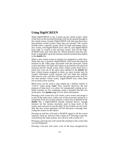### **Using DigiSCREEN**

When DigiSCREEN is run, it starts up one virtual screen. Some of the keys on the terminal keyboard will not be passed through to the virtual screen; instead, DigiSCREEN will intercept these keys and perform certain actions when they are pressed. The actions include select a specific screen, block all input and output, start a new screen, end DigiSCREEN (exit code 0), quit DigiSCREEN (exit code 1), switch to the previous screen, and list the Digi-SCREEN keys and what they do. Which function each key performs is dependent upon the terminal and the terminal description in the **dsinfo** file.

When a new virtual screen is created, it is assigned to a select key. When this key is pressed, DigiSCREEN will switch the physical terminal to the video page associated with the particular virtual screen and direct all input and output to go between the physical terminal and the virtual screen. Each virtual screen must have a select key; once all of the select keys defined in the **dsinfo** file have virtual screens assigned to them, no more screens may be created. Individual screen sessions will end when the original shell process exits, and this will free the associated select key for use with another virtual screen. DigiSCREEN exits when there are no more active screens.

Block keys can be used to stop output (in a fashion similar to <Ctrl-S> when using "**ixon**" flow control). However, the true purpose of these keys is to allow for transparently setting up terminal sessions on two computers using a terminal that has two serial ports. See **dsinfo** (page 25) for more information.

Pressing a new screen key will create a new screen and assign it to one of the select keys, unless one of the necessary resources is exhausted. Each new screen requires a select key as defined in the **dsinfo** file, a DigiSCREEN pseudo terminal device, enough memory for the various structures used to keep track of the screen, and a process to run the shell. If any of these are not available, the new screen operation will fail and print a message indicating the reason for the failure.

Pressing an end key will send a SIGHUP signal to all the screen sessions, clean up, and exit with a status of 0. Pressing a quit key will perform the same actions, but will exit with a status of 1.

Pressing a previous key will switch the terminal to the screen that was last displayed.

Pressing a list key will cause a list of the keys recognized by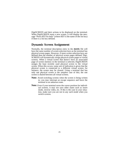DigiSCREEN and their actions to be displayed on the terminal. When DigiSCREEN starts a new screen, it will display the message "Press *KEY* for help" (where *KEY* is the name of the list key) if there is a list key defined.

### **Dynamic Screen Assignment**

Normally, the terminal description entry in the **dsinfo** file will have the same number of screen selection keys as the terminal has physical screen pages. However, if more screen selection keys are defined than the number of physical screen pages defined, Digi-SCREEN will dynamically assign physical screen pages to virtual screens. When a virtual screen that doesn't have an associated page of screen memory in the terminal is selected, DigiSCREEN assigns the least recently used physical screen to the virtual screen. When this occurs, some sort of indication is given that the physical screen is connected to a different virtual screen; for instance, the screen may be cleared. Using a terminal that has only one physical screen is the simplest case of this; the one screen is shared between all virtual screens.

- **Note:** Avoid switching screens when the screen is being written to; you may interrupt an escape sequence and leave the terminal in an unknown state.
- **Note:** Even if your terminal saves the cursor position for individual screens, it may not save other states such as insert mode, inverse video, etc. If this is the case in your situation, make sure you are not in any such mode when you switch screens.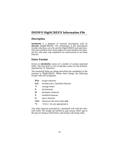### **DSINFO DigiSCREEN Information File**

#### **Description**

**/etc/dsinfo** is a database of terminal descriptions used by **dscreen** (DigiSCREEN). The information in the descriptions include what keys are to be used by DigiSCREEN and what functions they perform, how many pages of screen memory the terminal has, and what code sequences are sent/received to use these features.

#### **Entry Format**

Entries in **/etc/dsinfo** consist of a number of comma separated fields. The first field is a list of alternate names for the terminal, separated by "**|**" characters.

The remaining fields are strings describing the capabilities of the terminal to DigiSCREEN. Within these strings, the following escape codes are recognized:

| <b>IE, le</b> | escape character                                     |
|---------------|------------------------------------------------------|
| \n,\l         | newline (a.k.a. linefeed) character                  |
| ۱r            | carriage return                                      |
| ١t            | tab character                                        |
| ١b            | backspace character                                  |
| ١f            | formfeed character                                   |
| ۱s            | space character                                      |
| \nnn          | character with octal value <b>nnn</b>                |
| ۸y            | <ctrl-x> for any appropriate <math>x</math></ctrl-x> |

Any other character preceded by a backslash will yield the character itself. The strings are entered as *type*=*string*, where *type* is the type of string as listed below, and *string* is the string value.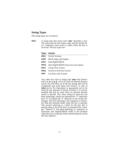#### **String Types**

The string types are as follows:

**dsk<sup>x</sup>** A string type that starts with "**dsk**" describes a key. The type must be four letters long, and the fourth letter  $x$  indicates what action is taken when the key is received. The key types are:

#### **Type Action**

|      | <b>dsks</b> Switch Screens                         |
|------|----------------------------------------------------|
| dskb | <b>Block Input and Output</b>                      |
| dske | End DigiSCREEN                                     |
|      | <b>dskq</b> Quit DigiSCREEN (non-zero exit status) |
|      | <b>dskc</b> Create New Screen                      |
| dskp | <b>Switch to Previous Screen</b>                   |
| dskl | List Keys and Actions                              |
|      |                                                    |

Any other key type (a string type **dsk<sup>x</sup>** that doesn't end in **s**, **b**, **e**, **q**, **p**, or **l**) will cause no internal dscreen action, but will show up in the key listing and will be recognized and acted upon (see below). A type of **dskn** (**n** for No Operation) is guaranteed not to be used for any function in future versions; it is recommended that this be used when no internal dscreen action is desired. The value string for each key has three substrings, which are separated by "**|**" characters (use "**\|**" to include the "**|**" character in one of the substrings). The first substring is the sequence of characters that the terminal sends when the key is pressed. The second substring is a label for the key that is printed when a list of the keys is presented (for example, "Shift-F1"). The third substring is a sequence of characters that DigiSCREEN sends to the terminal when this key is pressed, before performing the action this key requests.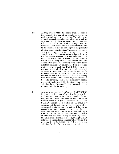**dsp** A string type of "**dsp**" describes a physical screen in the terminal. One **dsp** string should be present for each physical screen in the terminal. The value string for each physical screen has two substrings, which are separated by a "**|**" character (again, use "**\|**" to include the "**|**" character in one of the substrings). The first substring should be the sequence of characters to send to the terminal to display and output to the particular physical page on the terminal. The second substring is sent to the terminal any time the page is used for something new. This second substring is usually set to the clear screen sequence. It is sent under two conditions. The first condition is when a new virtual terminal session is being created. The second condition occurs when the user is running more virtual terminals than there are physical screens; if the user selects a virtual terminal such that DigiSCREEN has to reuse one of the physical screens, it will send this sequence to the screen to indicate to the user that the screen contents don't match the output of the virtual terminal to which it is connected. Note that running with more virtual terminals than physical screens can be quite confusing and is not particularly recommended; it can be avoided by defining no more screen selection keys ("**dsks=...**") than physical screens ("**dsp=...**") in the **dsinfo** entry.

**dst** A string with a type of "**dst**" adjusts DigiSCREEN's input timeout. The value of the string should be a decimal number. The timeout value is in tenths of a second, and has a maximum value of 255. The default timeout value is 1 (or .1 seconds). When Digi-SCREEN recognizes a prefix of an input key sequence but doesn't have all the characters of the sequence, it waits for more characters. If the timeout occurs before more characters are received, the characters are sent on to the virtual screen and DigiS-CREEN will not consider these characters as part of an input key sequence. It may be necessary to raise this value if one or more of the "keys" DigiSCREEN is to trigger on is actually a number of keystrokes (i.e. assigning Ctrl-Z 1, Ctrl-Z 2, Ctrl-Z 3, etc. for screen selection, Ctrl-Z N for new screen and so on).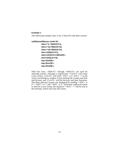#### **Example 1**

The following example entry is for a Wyse 60 with three screens:

```
wy60|wyse60|wyse model 60,
          dsks=^A`^M|Shift-F1|,
          dsks=^Aa^M|Shift-F2|,
          dsks=^Ab^M|Shift-F3|,
          dskc=\200|Ctrl-F1|,
          dske=\201|Ctrl-F2|\Ew0\E+,
          dskl=\202|Ctrl-F3|,
          dsp=\Ew0|\E+,
          dsp=\Ew1|\E+,
          dsp=\Ew2|\E+,
```
With this entry, <Shift-F1> through <Shift-F3> are used for selecting screens 1 through 3, respectively. <Ctrl-F1> will create a new screen, <Ctrl-F2> will send "<ESC> w 0 <ESC> +" to the screen (switching to window 0 and clearing the screen) and then end dscreen, and <Ctrl-F3> will list the keys and their functions. The three physical screens are displayed by sending "<ESC> w 0", " $\langle$ ESC $>$  w 1", and " $\langle$ ESC $>$  w 2." Each time a physical screen is used for a new screen, the sequence " $\langle ESC \rangle + \vec{v}$  will be sent to the terminal, which will clear the screen.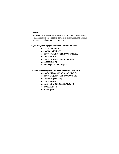#### **Example 2**

This example is, again, for a Wyse 60 with three screens, but one of the screens is on a second computer communicating through the second serial port on the terminal:

```
wy60-1|wyse60-1|wyse model 60 - first serial port,
```
**dsks=^A`^M|Shift-F1|, dsks=^Aa^M|Shift-F2|, dskb=^Ab^M|Shift-F3|\Ed#^Ab\r^T\Ee9, dskc=\200|Ctrl-F1|, dske=\201|Ctrl-F2|\Ed#\201^T\Ew0\E+, dskl=\202|Ctrl-F3|, dsp=\Ew0|\E+,dsp=\Ew1|\E+,**

**wy60-2|wyse60-2|wyse model 60 - second serial port, dskb=^A`^M|Shift-F1|\Ed#^A`\r^T\Ee8, dskb=^Aa^M|Shift-F2|\Ed#^Aa\r^T\Ee8, dsks=^Ab^M|Shift-F3|, dskc=\200|Ctrl-F1|, dske=\201|Ctrl-F2|\Ed#\201^T\Ew0\E+, dskl=\202|Ctrl-F3|, dsp=\Ew2|\E+,**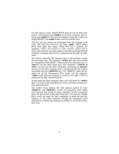For this setup to work, DigiSCREEN must be run on both computers, with terminal type **wy60-1** on the first computer and terminal type **wy60-2** on the second computer (using the **-t** option to DigiSCREEN). The **wy60-1** entry will be examined first.

The first two key entries are unchanged from the original wy60 entry. The third key, however, has type "**dskb**," which means block both input and output. When this key is pressed, the sequence "<ESC> d # <Ctrl-A> b <CR> <Ctrl-T> <ESC> e 9" is sent to the terminal; after this output is blocked and DigiSCREEN continues scanning input for key sequences but discards all other input.

The effects caused by the sequence sent to the terminal contain the real magic here. The sequence "**<ESC> d #**" puts the terminal in "Transparent Print Mode," which echoes all characters up to a **<Ctrl-T>** out the other serial port. The characters "**<Ctrl-A> b <CR>**" are sent out the other serial port, informing the **dscreen** process on the other computer that it should activate the window associated with the **<Shift-F3>** key. The "**<Ctrl-T>**" takes the terminal out of the Transparent Print mode, and the sequence "**<ESC> e 9**" tells the terminal to switch to the other ("AUX") serial port for data communications.

At this point the other computer takes over and sends an "**<ESC> w 2**" to switch to the third physical screen, and then resumes normal communication.

The wy60-2 entry follows the same general pattern for keys **<Shift-F1>** and **<Shift-F2>**: switch to transparent print mode; send function key string to other computer; switch transparent print off; and switch to the other serial port. The end key (**<Ctrl-F2>**) works the same for both computers; it sends the end key sequence to the other computer through the transparent print mechanism, switches the terminal to window 0, clears the screen, then exits.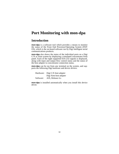# **Port Monitoring with mon-dpa**

### **Introduction**

**mon-dpa** is a software tool which provides a means to monitor the status of the Front End Processor/Operating System (FEP/ OS), which is the on-board software run by Digi intelligent serial communications products.

**mon-dpa** also shows the status of the individual ports on a Digi C/X or Xem system by displaying a simulated concentrator front panel. Each of the eight supported EIA-232 signals is displayed, along with input and output flow control status and the status of the host adapter to concentrator connection status.

**mon-dpa** can be run from any terminal on the system, and supports the following Digi hardware and device drivers:

Hardware: Digi C/X host adapter Digi Xem host adapter Software: AIX, Release 4.x

**mon-dpa** is installed automatically when you install this device driver.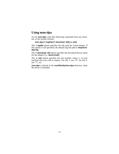### **Using mon-dpa**

To run **mon-dpa**, enter the following command from any terminal, or the system console:

#### **mon-dpa [-l logfile] [-f download\_file] [-s slot]**

The **-l logfile** option specifies the file path for screen dumps. If this option is not specified, the default log file path is **/tmp/mondpa.log**.

The **-f download\_file** option specifies the download device name for the adapter (i.e. **/dev/cxisa0**).

The **-s slot** option specifies the slot number, *minus 1*, in your machine that you wish to inspect. For slot 1, use "0"; for slot 2, use "1", etc.

**mon-dpa** is placed in the **/usr/lbin/tty/mon-dpa** directory when the driver is installed.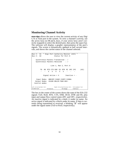#### **Monitoring Channel Activity**

**mon-dpa** allows the user to view the current activity of any Digi C/X or Xem port in the system. To view a channel's activity, use the arrow keys (or **H** and **L** keys, if your arrow keys aren't correctly mapped) to select the desired port, then press the space bar. The software will display a graphic representation of the port's signals. The screen is dynamically updated at half second intervals, and shows the current status of the channel selected.

```
Bus #: 01 * Digi Port Authority Monitor (AIX) *
Bus #: 02 Status for Port 0
   Synchronous Packets Transmitted : /
   Synchronous Packets Received : /
                  Line 1, Ran 2, Port 0
        TD RD RTS CTS DSR CD DTR RI OFC IFC (AC)
           --XXXXX---
          Signal Active = X Inactive = -
    Input Modes :BRKINT:IXANY:IXOFF:IXONA:
   Output Modes :XCASE:ONLCR:TAB2:BS2:
  Control modes
Left Arrow Key=Next Port Right Arrow Key=Previous Port F12=Loopback Test
F2=Refresh F3=Cancel F8=Image F10=Exit
```
The box in the center of the screen shows the state of the EIA-232 signals TxD, RxD, RTS, CTS, DSR, DCD, DTR and RI, plus input and output flow control states (IFC and OFC, respectively). An inactive signal is indicated by a dash (-) under its name. An active signal is indicated by a block under its name. If data is currently being transmitted or received, a blinking "**X**" will appear under the signal name (TxD or RxD, respectively).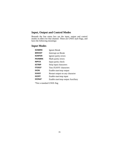### **Input, Output and Control Modes**

Beneath the line status box are the input, output and control modes in effect for that channel. These are UNIX style flags, and have the following meanings:

### **Input Modes**

| Ignore Break                       |
|------------------------------------|
| <b>Interrupt on Break</b>          |
| Ignore parity errors               |
| Mark parity errors                 |
| Input parity check                 |
| Strip input characters             |
| <b>Toss IXANY</b> characters       |
| Enable start/stop output           |
| Restart output on any character    |
| Enable start/stop input            |
| Enable start/stop output Auxiliary |
|                                    |

\*Not a standard UNIX flag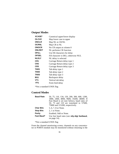# **Output Modes**

| <b>XCASE*</b>    | Canonical upper/lower display        |
|------------------|--------------------------------------|
| <b>OLCUC</b>     | Map lower case to upper              |
| <b>ONCLR</b>     | Map NL to CR/NL                      |
| <b>OCRNL</b>     | Map CR to NL                         |
| <b>ONOCR</b>     | No CR output at column 0             |
| <b>ONLRET</b>    | NL performs CR function              |
| <b>OFILL</b>     | Use fill characters for delay        |
| <b>OFDEL</b>     | Fill character is DEL; otherwise NUL |
| <b>NLDLY</b>     | NL delay is selected                 |
| CR <sub>1</sub>  | Carriage Return delay type 1         |
| CR <sub>2</sub>  | Carriage Return delay type 2         |
| CR <sub>3</sub>  | Carriage Return delay type 3         |
| TAB1             | Tab delay type 1                     |
| TAB2             | Tab delay type 2                     |
| TAB <sub>3</sub> | Tab delay type 3                     |
| BS1              | Backspace delay                      |
| VT1              | Vertical tab delay                   |
| FF1              | Form feed delay                      |

\*Not a standard UNIX flag

## **Control Modes**

| <b>Baud Rate</b> | 50, 75, 110, 134, 150, 200, 300, 600, 1200,<br>1800, 2400, 4800, 9600, 19200, 38400. If<br>Fast Baud is set (see below), baud rates of<br>50, 75 and 110 are translated to 57600, |
|------------------|-----------------------------------------------------------------------------------------------------------------------------------------------------------------------------------|
|                  | 75600 and 115200, respectively.                                                                                                                                                   |
| <b>Char Bits</b> | 5, 6, 7, 8 or None.                                                                                                                                                               |
| <b>Stop Bits</b> | 2, 1 or None.                                                                                                                                                                     |
| <b>Parity</b>    | Enabled, Odd or None.                                                                                                                                                             |
| Fast Baud*       | Use fast baud rates (see <b>stty-digi fastbaud</b> ,<br>on page $14$ ).                                                                                                           |

\*Not a standard UNIX flag

From the channel monitoring screen, channels on any concentrator or PORTS module may be monitored without returning to the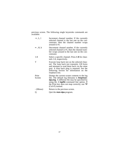previous screen. The following single keystroke commands are available:

| $\rightarrow$ , L, l | Increment channel number. If the currently<br>selected channel is the last one on the con-<br>centrator, then the channel number wraps<br>around to $#1$ .                                                                                                                          |
|----------------------|-------------------------------------------------------------------------------------------------------------------------------------------------------------------------------------------------------------------------------------------------------------------------------------|
| $\leftarrow$ , H, h  | Decrement channel number. If the currently<br>selected channel is #1, then the channel num-<br>ber wraps around to the last one on the con-<br>centrator.                                                                                                                           |
| $1-8$                | Select a specific channel. Press 1-8 for chan-<br>nels 1-8, respectively.                                                                                                                                                                                                           |
| т                    | Execute loop back test on the selected chan-<br>nel. The loop back test transmits 128 bytes<br>and attempts to read them back via the same<br>port. A loop back plug is required. See the<br>following section for information on the<br>loopback test.                             |
| Print<br>Screen      | Dumps the current screen contents to the log<br>file. The default log filename is /tmp/mon-<br><b>dpa.log.</b> A different file may be specified by<br>using the -I logfile command line option. If<br>the Print key does not map correctly, use $\triangle$ P<br>(Ctrl-P) instead. |
| - (Minus)            | Return to the previous screen.                                                                                                                                                                                                                                                      |
|                      | Quit the <b>mon-dpa</b> program.                                                                                                                                                                                                                                                    |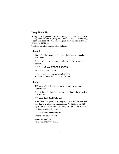## **Loop Back Test**

A loop back diagnostic test can be run against any selected channel by pressing the **T** (or **t**) key from the channel monitoring screen (see page 32). A loop back plug must be installed in the channel to be tested.

The loop back test consists of five phases:

## **Phase 1**

Verify that the channel is not currently in use. All signals must be low.

If the port is busy, a message similar to the following will appear:

#### **\*\*\*\* Port is Busy :DTR:CD:DSR:RTS**

Probable cause of failure:

- Port is open by some process (e.g. getty).
- Incorrect loop back connector or cable.

## **Phase 2**

128 bytes of test data (the letter **A** is used) are put into the transmit buffer.

If the write operation fails, a message similar to the following will appear:

#### **\*\*\*\* Loop Back Test Failure #1**

After the write operation is complete, the FEP/OS is notified that data is available for transmission. At this time, the 128 bytes of data is transmitted. If the transmission fails, the following message will appear:

#### **\*\*\*\* Loop Back Test Failure #2**

Probable cause of failure:

- Hardware failure.
- FEP/OS or driver failure.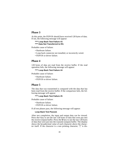## **Phase 3**

At this point, the FEP/OS should have received 128 bytes of data. If not, the following message will appear:

**\*\*\*\* Loop Back Test Failure #3 \*\*\*\* Data Not Transferred to RX.**

Probable cause of failure:

- Hardware failure.
- Loop back connector not installed, or incorrectly wired.
- FEP/OS or driver failure.

## **Phase 4**

128 bytes of data are read from the receive buffer. If the read operation fails, the following message will appear:

#### **\*\*\*\* Loop Back Test Failure #4**

Probable cause of failure:

- Hardware failure.
- FEP/OS or driver failure.

## **Phase 5**

The data that was transmitted is compared with the data that has been read from the receive buffer. If the comparison fails, the following message will appear:

#### **\*\*\*\* Loop Back Test Failure #5**

Probable cause of failure:

- Hardware failure.
- FEP/OS or driver failure.

If all test phases pass, the following message will appear:

#### **Loop Back Test Passed.**

After test completion, the input and output data can be viewed. Press the I key to see the last 128 bytes of data that were put into the receive (input) buffer. Press the  $\overline{O}$  key to see the last 128 bytes of data that were put into the transmit (output) buffer. The display shows the hexadecimal value of each character above the character itself. If the character is a non printing character, "**|**" is dis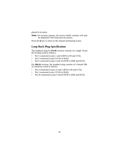played in its place.

Note: For security reasons, the receive buffer contents will only be displayed if the loop back test passes.

Press the **Q** key to return to the channel monitoring screen.

## **Loop Back Plug Specification**

The loopback plug for **RJ-45** versions consists of a single 10-pin RJ-45 plug wired as follows:

- Pin 3 connected to pins 1 and 8 (RTS to RI and CTS);
- Pin 5 connected to pin 6 (TxD to RxD);
- Pin 9 connected to pins 2 and 10 (DTR to DSR and DCD).

For **DB-25** versions, the loopback plug consists of a female DB-25 connector wired as follows:

- Pin 4 connected to pins 22 and 5 (RTS to RI and CTS);
- Pin 2 connected to pin 3 (TxD to RxD);
- Pin 20 connected to pins 6 and 8 (DTR to DSR and DCD).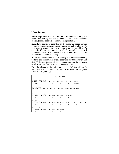## **Host Status**

**mon-dpa** provides several status and error counters to aid you in monitoring activity between the host adapter and concentrators, and diagnosing possible communication problems.

Each status counter is described on the following pages. Several of the counters increment steadily under normal conditions. An incrementing counter does not necessarily indicate a problem. For example, if a concentrator is turned off, several counters will increment. When the concentrator is turned back on, those counters will stop incrementing.

If any counters that are usually idle begin to increment steadily, perform the recommended tests described for that counter. Call Digi Technical Support if the counters continue to increment steadily after performing the recommended tests.

From the adapter configuration screen, press "**s**". You will see the status and error counters. The counters are reset during system initialization (boot-up).

|                    |                                                                |          | HOST STATUS |          |  |
|--------------------|----------------------------------------------------------------|----------|-------------|----------|--|
| Activity Counters: | RECEIVE1 RECEIVE2 RECEIVE3 RECEIVE4 RECEIVE5 TRANSMIT          |          |             |          |  |
| 24382              | $\Omega$ and $\Omega$                                          | $\Omega$ | $\Omega$    | 0 300477 |  |
| Sync Counters:     |                                                                |          |             |          |  |
|                    | ERR UFRAM ERR ABSTAT ERR INC ERR CRC ERR DATA ERR BACK         |          |             |          |  |
|                    |                                                                |          |             |          |  |
|                    | Saturation Counters:                                           |          |             |          |  |
|                    | ERR TBUF ERR FIFO ERR ORUN ERR TBUSY ERR RITEM                 |          |             |          |  |
|                    |                                                                |          |             |          |  |
| FEP/OS Counters:   |                                                                |          |             |          |  |
|                    | ERR_REC0 ERR_ADDR ERR_MTYPE ERR_MSIZE ERR_RID ERR_TID ERR_PING |          |             |          |  |
|                    |                                                                |          |             |          |  |
| Hardware Counters: |                                                                |          |             |          |  |
|                    | ERR_ABREC ERR_URUN ERR_CONC ERR_CHECK                          |          |             |          |  |
|                    |                                                                |          |             |          |  |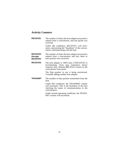# **Activity Counters**

| <b>RECEIVE1</b>                               | The number of times the host adapter processed a<br>request from a concentrator, and one packet was<br>received.                                                                |
|-----------------------------------------------|---------------------------------------------------------------------------------------------------------------------------------------------------------------------------------|
|                                               | Under idle conditions, RECEIVE1 will incre-<br>ment, representing the "heartbeat" of the concen-<br>trators communicating with the host.                                        |
| <b>RECEIVE2</b><br>through<br><b>RECEIVE4</b> | The number of times the host adapter processed a<br>request from a concentrator, and two, three or<br>four packets were received.                                               |
| <b>RECEIVE5</b>                               | The host adapter is 100% busy if RECEIVE5 is<br>incrementing. Users may experience slower<br>response time. Monitor <b>EC</b> (Error Count) on the<br>concentrator front panel. |
|                                               | The Digi product in use is being maximized.<br>Consider adding another host adapter.                                                                                            |
| <b>TRANSMIT</b>                               | The number of data packets transmitted from the<br>host.                                                                                                                        |
|                                               | Under idle conditions, the TRANSMIT counter<br>will increment. This is the heartbeat of the host<br>checking the status of communications to the<br>concentrators.              |
|                                               | Under normal operating conditions, the TRANS-<br>MIT counter will increment.                                                                                                    |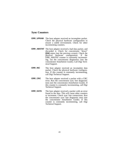## **Sync Counters**

- **ERR\_UFRAM** The host adapter received an incomplete packet. Check the physical hardware configuration to ensure a stable environment. Check for other incrementing counters.
- **ERR\_ABSTAT** The host adapter received a bad data packet, and discarded it. Check for concentrator "down" **[DN]** status (see the previous screen). Check the physical hardware configuration. If the ERR\_ABSTAT counter is constantly incrementing, run the concentrator diagnostics (see the concentrator *Installation Guide*). Call Digi Technical Support.
- **ERR\_INC** The host adapter received an incomplete data packet. Check the physical hardware configuration. If this counter is constantly incrementing, call Digi Technical Support.
- **ERR\_CRC** The host adapter received a packet with a CRC error. Run the concentrator sync line diagnostic tests (see the concentrator *Installation Guide*). If this counter is constantly incrementing, call Digi Technical Support.
- **ERR\_DATA** The host adapter received a packet with an error found in the data. This will cause other counters to increment. Check sync line connections. Run the concentrator sync line diagnostic tests (see the concentrator *Installation Guide*). If this counter is constantly incrementing, call Digi Technical Support.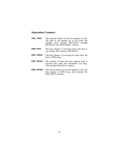## **Saturation Counters**

- **ERR\_TBUF** The transmit buffers on the host adapter are full. The data is not getting out to the ports fast enough. Also monitor RECEIVE1 through RECEIVE5 and TRANSMIT counters.
- **ERR\_FIFO** The host adapter is receiving more data than it can handle. Also monitor RECEIVE5.
- **ERR\_ORUN** The host adapter is receiving too much data; the host is 100% busy.
- **ERR\_TBUSY** The number of times the host adapter tried to transmit data when the transmitter was busy. Also monitor RECEIVE counters.
- **ERR\_RITEM** The receive buffer on the host adapter is full; the host adapter is 100% busy. Also monitor the ERR\_ORUN counter.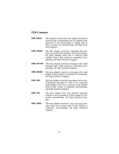## **FEP Counters**

- **ERR\_REC0** The number of times the host adapter received a request from a concentrator, but no packets were received. If the environment is stable and no other counters are incrementing, call Digi Technical Support.
- **ERR\_ADDR** The host adapter received a message that contains an invalid node number. This is *not* a physical node number error, but a software node number error. If this counter is constantly incrementing, call Digi Technical Support.
- **ERR\_MTYPE** The host adapter received a message with a bad message type. If this counter is constantly incrementing, call Digi Technical Support.
- **ERR\_MSIZE** The host adapter received a message with a bad length. If this counter is constantly incrementing, call Digi Technical Support.
- **ERR\_RID** The host adapter received a message with an outof-sequence message ID. This is *not* a physical node number error, but a software node number error. If this counter is constantly incrementing, call Digi Technical Support.
- **ERR\_TID** The host adapter sync line transmit sequence number is out of sequence. If this counter is constantly incrementing, call Digi Technical Support.
- **ERR\_PING** The host adapter received a sync line ping message when not in ping mode. If this counter is constantly incrementing, call Digi Technical Support.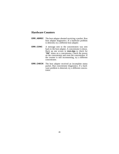## **Hardware Counters**

- **ERR\_ABREC** The host adapter aborted receiving a packet. Run host adapter diagnostics. If a hardware problem is detected, try a different host adapter.
- **ERR\_CONC** A message sent to the concentrators was sent back to the host adapter. A concentrator is down. Back up one screen in **mon-dpa** to check for "**DN**" status on a concentrator. Check the power on the concentrator and reset the concentrator. If the counter is still incrementing, try a different concentrator.
- **ERR\_CHECK** The host adapter received an incomplete status packet. Run concentrator diagnostics. If a hardware problem is detected, try a different concentrator.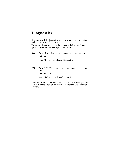# **Diagnostics**

Digi has provided a diagnostics test suite to aid in troubleshooting problems with your  $C/X$  host adapters.

To run the diagnostics, enter the command below which corresponds to your host adapter type (ISA or PCI):

**ISA:** For an ISA C/X, enter this command at a root prompt: **smit isa**

Select "ISA Async Adapter Diagnostics"

**PCI:** For a PCI C/X adapter, enter this command at a root prompt:

#### **smit digi\_cxpci**

Select "PCI Async Adapter Diagnostics"

Several tests will be run, and Pass/Fail status will be displayed for each test. Make a note of any failures, and contact Digi Technical Support.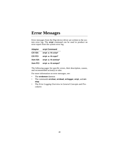# **Error Messages**

Error messages from the Digi device driver are written to the system error log. The **errpt** command can be used to produce an error report from the system error log.

| <b>Adapter</b> | errpt Command       |
|----------------|---------------------|
| <b>C/X ISA</b> | errpt -a -N cxisa*  |
| C/X PCI        | errpt -a -N cxpci*  |
| <b>Xem ISA</b> | errpt -a -N xemisa* |
| <b>Xem PCI</b> | errpt-a-N xempci*   |

The following pages list specific errors, their description, causes, and recommended action( $\overline{s}$ ) to take.

For more information on error messages, see:

- The **errdemon** daemon
- The commands **errclear**, **errdead**, **errlogger**, **errpt**, and **errstop**.
- The *Error Logging Overview* in *General Concepts and Procedures*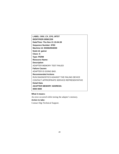**LABEL: DIGI\_CX\_CFG\_MTST IDENTIFIER:0958C259 Date/Time: Thu Nov 21 15:04:39 Sequence Number: 8783 Machine Id: 003062904D00 Node Id: gainer Class: S Type: PERM Resource Name: Description** ADAPTER MEMORY TEST FAILED **Failure Causes** ADAPTER IS GOING BAD. **Recommended Actions** RUN DIAGNOSTICS AGAINST THE FAILING DEVICE CONTACT APPROPRIATE SERVICE REPRESENTATIVE **Detail Data ADAPTER MEMORY ADDRESS: 0000 0000**

#### **What it means:**

An error occurred while testing the adapter's memory.

#### **Action to take:**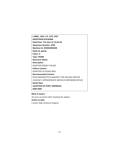**LABEL: DIGI\_CX\_CFG\_RST IDENTIFIER:91F5D066 Date/Time: Thu Nov 21 15:04:39 Sequence Number: 8782 Machine Id: 003062904D00 Node Id: gainer Class: S Type: PERM Resource Name: Description** ADAPTER RESET FAILED **Failure Causes** ADAPTER IS GOING BAD. **Recommended Actions** RUN DIAGNOSTICS AGAINST THE FAILING DEVICE CONTACT APPROPRIATE SERVICE REPRESENTATIVE **Detail Data ADAPTER I/O PORT ADDRESS: 0000 0000**

#### **What it means:**

An error occurred while resetting the adapter.

## **Action to take:**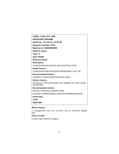| LABEL: COM_CFG_UNK                                           |
|--------------------------------------------------------------|
| <b>IDENTIFIER: 7993098B</b>                                  |
| Date/Time: Thu Nov 21 15:04:39                               |
| Sequence Number: 8779                                        |
| Machine Id: 003062904D00                                     |
| Node Id: gainer                                              |
| Class: S                                                     |
| <b>Type: PERM</b>                                            |
| <b>Resource Name:</b>                                        |
| <b>Description</b>                                           |
| <b>CONFIGURATION FAILED: BAD ADAPTER TYPE</b>                |
| <b>Install Causes</b>                                        |
| CONFIGURATION DATA BASE IMPROPERLY SET UP.                   |
| <b>Recommended Actions</b>                                   |
| <b>CORRECT CONFIGURATION DATA BASE.</b>                      |
| <b>Failure Causes</b>                                        |
| ADAPTER TYPE SPECIFIED NOT KNOWN TO THIS LEVEL<br>OF DRIVER. |
| <b>Recommended Actions</b>                                   |
| INSTALL UPDATED DRIVER CODE.                                 |
| CONTACT APPROPRIATE SERVICE REPRESENTATIVE                   |
| <b>Detail Data</b>                                           |
| <b>TYPE</b>                                                  |
| 0000 0000                                                    |

A configuration error has occurred with an unknown adapter type.

## **Action to take:**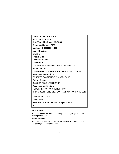| <b>LABEL: COM CFG NADP</b>                                   |
|--------------------------------------------------------------|
| <b>IDENTIFIER: 3EC3C657</b>                                  |
| Date/Time: Thu Nov 21 15:04:39                               |
| <b>Sequence Number: 8798</b>                                 |
| Machine Id: 003062904D00                                     |
| Node Id: gainer                                              |
| Class: S                                                     |
| <b>Type: PERM</b>                                            |
| <b>Resource Name:</b>                                        |
| <b>Description</b>                                           |
| <b>CONFIGURATION FAILED: ADAPTER MISSING</b>                 |
| <b>Install Causes</b>                                        |
| <b>CONFIGURATION DATA BASE IMPROPERLY SET UP.</b>            |
| <b>Recommended Actions</b>                                   |
| <b>CORRECT CONFIGURATION DATA BASE.</b>                      |
| <b>Failure Causes</b>                                        |
| <b>BUS CONFIGURATOR ERROR</b>                                |
| <b>Recommended Actions</b>                                   |
| REPORT ERROR AND CONDITIONS.                                 |
| IF PROBLEM PERSISTS, CONTACT APPROPRIATE SER-<br><b>VICE</b> |
| <b>REPRESENTATIVE</b>                                        |
| Detail Data                                                  |
| ERROR CODE AS DEFINED IN sys/errno.h                         |
| 0                                                            |

An error occurred while matching the adapter posid with the stored posid value.

## **Action to take:**

Remove and then re-configure the device. If problem persists, contact Digi Technical Support.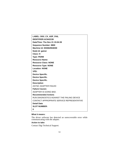**LABEL: DIGI\_CX\_ADP\_FAIL IDENTIFIER:AC64221B Date/Time: Thu Nov 21 15:04:39 Sequence Number: 8800 Machine Id: 003062904D00 Node Id: gainer Class: H Type: PERM Resource Name: Resource Class: NONE Resource Type: NONE Location: NONE VPD: Device Specific. Device Specific. Device Specific. Description** ASYNC ADAPTER FAILED **Failure Causes** ADAPTER IS GOING BAD. **Recommended Actions** RUN DIAGNOSTICS AGAINST THE FAILING DEVICE CONTACT APPROPRIATE SERVICE REPRESENTATIVE **Detail Data SLOT NUMBER: 0**

#### **What it means:**

The driver software has detected an unrecoverable error while communicating with the adapter.

#### **Action to take:**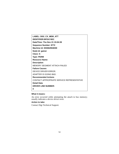| LABEL: DIGI_CX_MEM_ATT                     |
|--------------------------------------------|
| <b>IDENTIFIER: BFEA74DC</b>                |
| Date/Time: Thu Nov 21 15:04:39             |
| <b>Sequence Number: 8772</b>               |
| Machine Id: 003062904D00                   |
| Node Id: gainer                            |
| Class: S                                   |
| <b>Type: PERM</b>                          |
| <b>Resource Name:</b>                      |
| <b>Description</b>                         |
| <b>MEMORY SEGMENT ATTACH FAILED</b>        |
| <b>Failure Causes</b>                      |
| DEVICE DRIVER ERROR.                       |
| ADAPTER IS GOING BAD.                      |
| <b>Recommended Actions</b>                 |
| CONTACT APPROPRIATE SERVICE REPRESENTATIVE |
| Detail Data                                |
| <b>DRIVER LINE NUMBER:</b>                 |
| 0                                          |

An error occurred while attempting the attach to bus memory; usually indicates a device driver error.

## **Action to take:**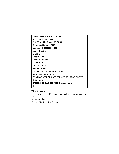**LABEL: DIGI\_CX\_CFG\_TALLOC IDENTIFIER:59853D4A Date/Time: Thu Nov 21 15:04:39 Sequence Number: 8778 Machine Id: 003062904D00 Node Id: gainer Class: S Type: PERM Resource Name: Description** TALLOC FAILED **Failure Causes** OUT OF VIRTUAL MEMORY SPACE. **Recommended Actions** CONTACT APPROPRIATE SERVICE REPRESENTATIVE **Detail Data ERROR CODE AS DEFINED IN sys/errno.h 0**

#### **What it means:**

An error occurred while attempting to allocate a trb timer structure.

#### **Action to take:**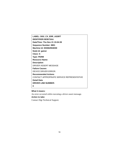**LABEL: DIGI\_CX\_ERR\_ASSRT IDENTIFIER:5E9573AA Date/Time: Thu Nov 21 15:04:39 Sequence Number: 8801 Machine Id: 003062904D00 Node Id: gainer Class: S Type: PERM Resource Name: Description** DRIVER ASSERT MESSAGE **Failure Causes** DEVICE DRIVER ERROR. **Recommended Actions** CONTACT APPROPRIATE SERVICE REPRESENTATIVE **Detail Data DRIVER LINE NUMBER: 0**

#### **What it means:**

An error occurred while executing a driver assert message. **Action to take:** Contact Digi Technical Support.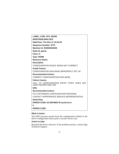## **LABEL: COM\_CFG\_RESID**

**IDENTIFIER:804C1878**

**Date/Time: Thu Nov 21 15:04:39**

**Sequence Number: 8775**

**Machine Id: 003062904D00**

**Node Id: gainer**

**Class: S**

**Type: PERM**

**Resource Name:**

**Description**

CONFIGURATION FAILED: RESID NOT CORRECT

**Install Causes**

CONFIGURATION DATA BASE IMPROPERLY SET UP.

#### **Recommended Actions**

CORRECT CONFIGURATION DATA BASE.

## **Failure Causes**

CALL TO CONFIGURATION ENTRY POINT DOES NOT HAVE PROPER SIZE FOR

## **DDS.**

**Recommended Actions**

FIX CUSTOMIZED CONFIGURATION PROGRAM.

CONTACT APPROPRIATE SERVICE REPRESENTATIVE

#### **Detail Data**

**ERROR CODE AS DEFINED IN sys/errno.h**

**0**

#### **ERROR CODE**

#### **What it means:**

The DDS structure passed from the configuration method to the driver configuration entry point is not the correct size.

#### **Action to take:**

Reinstall the driver software. If the problem persists, contact Digi Technical Support.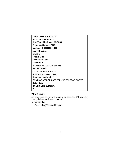**LABEL: DIGI\_CX\_IO\_ATT IDENTIFIER:2AA90CCD Date/Time: Thu Nov 21 15:04:39 Sequence Number: 8773 Machine Id: 003062904D00 Node Id: gainer Class: S Type: PERM Resource Name: Description** I/O SEGMENT ATTACH FAILED **Failure Causes** DEVICE DRIVER ERROR. ADAPTER IS GOING BAD. **Recommended Actions** CONTACT APPROPRIATE SERVICE REPRESENTATIVE **Detail Data DRIVER LINE NUMBER: 0**

#### **What it means:**

An error occurred while attempting the attach to I/O memory; usually indicates a device driver error.

#### **Action to take:**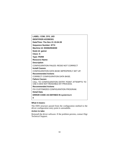| <b>LABEL: COM_CFG_UIO</b>                                                           |
|-------------------------------------------------------------------------------------|
| <b>IDENTIFIER: 4CEBE931</b>                                                         |
| Date/Time: Thu Nov 21 15:04:39                                                      |
| <b>Sequence Number: 8774</b>                                                        |
| Machine Id: 003062904D00                                                            |
| Node Id: gainer                                                                     |
| Class: S                                                                            |
| <b>Type: PERM</b>                                                                   |
| <b>Resource Name:</b>                                                               |
| <b>Description</b>                                                                  |
| CONFIGURATION FAILED: RESID NOT CORRECT                                             |
| <b>Install Causes</b>                                                               |
| CONFIGURATION DATA BASE IMPROPERLY SET UP.                                          |
| <b>Recommended Actions</b>                                                          |
| CORRECT CONFIGURATION DATA BASE.                                                    |
| <b>Failure Causes</b>                                                               |
| CALL TO CONFIGURATION ENTRY POINT ATTEMPTS TO<br>USE A DDS NOT READABLE BY PROCESS. |
| <b>Recommended Actions</b>                                                          |
| FIX CUSTOMIZED CONFIGURATION PROGRAM.                                               |
| Detail Data                                                                         |
| <b>ERROR CODE AS DEFINED IN sys/errno.h</b>                                         |
| 0                                                                                   |

The DDS structure passed from the configuration method to the driver configuration entry point is unreadable.

#### **Action to take:**

Reinstall the driver software. If the problem persists, contact Digi Technical Support.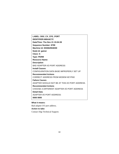**LABEL: DIGI\_CX\_CFG\_PORT IDENTIFIER:680A6C7C Date/Time: Thu Nov 21 15:04:39 Sequence Number: 8799 Machine Id: 003062904D00 Node Id: gainer Class: S Type: PERM Resource Name: Description** BAD ADAPTER I/O PORT ADDRESS **Install Causes** CONFIGURATION DATA BASE IMPROPERLY SET UP **Recommended Actions** CORRECT ADDRESS FROM MODEM KEYPAD **Failure Causes** ADAPTER SHOULD NOT BE AT THIS I/O PORT ADDRESS. **Recommended Actions** CHOOSE A DIFFERENT ADAPTER I/O PORT ADDRESS **Detail Data** ADAPTER I/O PORT ADDRESS: **0000 0000**

#### **What it means:**

Bad adapter I/O port address. **Action to take:** Contact Digi Technical Support.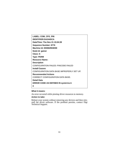| <b>LABEL: COM_CFG_PIN</b>                   |
|---------------------------------------------|
| <b>IDENTIFIER:DA244DCA</b>                  |
| Date/Time: Thu Nov 21 15:04:39              |
| <b>Sequence Number: 8776</b>                |
| Machine Id: 003062904D00                    |
| Node Id: gainer                             |
| Class: S                                    |
| <b>Type: PERM</b>                           |
| <b>Resource Name:</b>                       |
| <b>Description</b>                          |
| <b>CONFIGURATION FAILED: PINCODE FAILED</b> |
| <b>Install Causes</b>                       |
| CONFIGURATION DATA BASE IMPROPERLY SET UP.  |
| <b>Recommended Actions</b>                  |
| CORRECT CONFIGURATION DATA BASE.            |
| Detail Data                                 |
| <b>ERROR CODE AS DEFINED IN sys/errno.h</b> |
| 0                                           |

An error occurred while pinning driver resources to memory.

#### **Action to take:**

Reboot your system without removing any devices and then reinstall the driver software. If the problem persists, contact Digi Technical Support.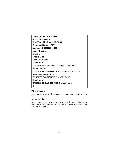**LABEL: COM\_CFG\_UNPIN IDENTIFIER:7F0052C6 Date/Time: Thu Nov 21 15:04:39 Sequence Number: 8781 Machine Id: 003062904D00 Node Id: gainer Class: S Type: PERM Resource Name: Description** CONFIGURATION FAILED: UNPINCODE FAILED **Install Causes** CONFIGURATION DATA BASE IMPROPERLY SET UP. **Recommended Actions** CORRECT CONFIGURATION DATA BASE. **Detail Data ERROR CODE AS DEFINED IN sys/errno.h 0**

#### **What it means:**

An error occurred while unpinning driver resources from memory.

#### **Action to take:**

Reboot your system without removing any devices and then reinstall the driver software. If the problem persists, contact Digi Technical Support.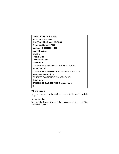**LABEL: COM\_CFG\_DEVA IDENTIFIER:BC8F0BBB Date/Time: Thu Nov 21 15:04:39 Sequence Number: 8777 Machine Id: 003062904D00 Node Id: gainer Class: S Type: PERM Resource Name: Description** CONFIGURATION FAILED: DEVSWADD FAILED **Install Causes** CONFIGURATION DATA BASE IMPROPERLY SET UP. **Recommended Actions** CORRECT CONFIGURATION DATA BASE. **Detail Data ERROR CODE AS DEFINED IN sys/errno.h 0**

#### **What it means:**

An error occurred while adding an entry to the device switch table.

#### **Action to take:**

Reinstall the driver software. If the problem persists, contact Digi Technical Support.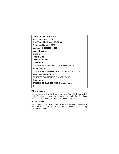| LABEL: COM_CFG_DEVD                          |
|----------------------------------------------|
| <b>IDENTIFIER: 29975223</b>                  |
| Date/Time: Thu Nov 21 15:04:39               |
| <b>Sequence Number: 8780</b>                 |
| Machine Id: 003062904D00                     |
| Node Id: gainer                              |
| Class: S                                     |
| <b>Type: PERM</b>                            |
| <b>Resource Name:</b>                        |
| <b>Description</b>                           |
| <b>CONFIGURATION FAILED: DEVSWDEL FAILED</b> |
| <b>Install Causes</b>                        |
| CONFIGURATION DATA BASE IMPROPERLY SET UP.   |
| <b>Recommended Actions</b>                   |
| CORRECT CONFIGURATION DATA BASE.             |
| Detail Data                                  |
| <b>ERROR CODE AS DEFINED IN sys/errno.h</b>  |
| 0                                            |

An error occurred while deleting an entry from the device switch table. A previous attempt to unconfigure a device has failed and left the configuration database in an incomplete state.

#### **Action to take:**

Reboot your system without removing any devices and then reinstall the driver software. If the problem persists, contact Digi Technical Support.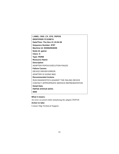**LABEL: DIGI\_CX\_CFG\_FEPOS IDENTIFIER:7C153B7A Date/Time: Thu Nov 21 15:04:39 Sequence Number: 8797 Machine Id: 003062904D00 Node Id: gainer Class: S Type: PERM Resource Name: Description** ADAPTER FEPOS EXECUTION FAILED **Failure Causes** DEVICE DRIVER ERROR. ADAPTER IS GOING BAD. **Recommended Actions** RUN DIAGNOSTICS AGAINST THE FAILING DEVICE CONTACT APPROPRIATE SERVICE REPRESENTATIVE **Detail Data FEPOS STATUS DATA: 0000**

#### **What it means:**

An error occurred while initializing the adapter FEP/OS **Action to take:** Contact Digi Technical Support.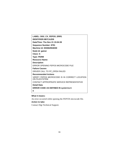| LABEL: DIGI_CX_FEPOS_ERR1                                      |
|----------------------------------------------------------------|
| <b>IDENTIFIER: 9B7CA2D9</b>                                    |
| Date/Time: Thu Nov 21 15:04:39                                 |
| <b>Sequence Number: 8791</b>                                   |
| Machine Id: 003062904D00                                       |
| Node Id: gainer                                                |
| Class: S                                                       |
| <b>Type: PERM</b>                                              |
| <b>Resource Name:</b>                                          |
| <b>Description</b>                                             |
| ERROR OPENING FEPOS MICROCODE FILE                             |
| <b>Failure Causes</b>                                          |
| DRIVER CALL TO FP OPEN FAILED                                  |
| <b>Recommended Actions</b>                                     |
| VERIFY FEPOS MICROCODE IS IN CORRECT LOCATION<br>ON FILESYSTEM |
| CONTACT APPROPRIATE SERVICE REPRESENTATIVE                     |
| Detail Data                                                    |
| <b>ERROR CODE AS DEFINED IN sys/errno.h</b>                    |
| 0                                                              |

An error occurred while opening the FEP/OS microcode file.

## **Action to take:**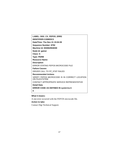| LABEL: DIGI_CX_FEPOS_ERR2                                      |
|----------------------------------------------------------------|
| <b>IDENTIFIER:C208EDC2</b>                                     |
| Date/Time: Thu Nov 21 15:04:39                                 |
| <b>Sequence Number: 8792</b>                                   |
| Machine Id: 003062904D00                                       |
| Node Id: gainer                                                |
| Class: S                                                       |
| <b>Type: PERM</b>                                              |
| <b>Resource Name:</b>                                          |
| <b>Description</b>                                             |
| <b>ERROR STATING FEPOS MICROCODE FILE</b>                      |
| <b>Failure Causes</b>                                          |
| DRIVER CALL TO FP STAT FAILED                                  |
| <b>Recommended Actions</b>                                     |
| VERIFY FEPOS MICROCODE IS IN CORRECT LOCATION<br>ON FILESYSTEM |
| CONTACT APPROPRIATE SERVICE REPRESENTATIVE                     |
| Detail Data                                                    |
| <b>ERROR CODE AS DEFINED IN sys/errno.h</b>                    |
| 0                                                              |

A stat error occurred with the FEP/OS microcode file.

## **Action to take:**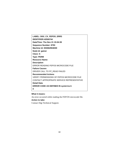**LABEL: DIGI\_CX\_FEPOS\_ERR3 IDENTIFIER:42506744 Date/Time: Thu Nov 21 15:04:39 Sequence Number: 8793 Machine Id: 003062904D00 Node Id: gainer Class: S Type: PERM Resource Name: Description** ERROR READING FEPOS MICROCODE FILE **Failure Causes** DRIVER CALL TO FP\_READ FAILED **Recommended Actions** VERIFY PERMISSIONS OF FEPOS MICROCODE FILE CONTACT APPROPRIATE SERVICE REPRESENTATIVE **Detail Data ERROR CODE AS DEFINED IN sys/errno.h 0**

#### **What it means:**

An error occurred while reading the FEP/OS microcode file.

## **Action to take:**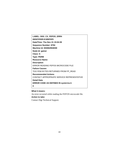**LABEL: DIGI\_CX\_FEPOS\_ERR4 IDENTIFIER:E1B5F5F9 Date/Time: Thu Nov 21 15:04:39 Sequence Number: 8794 Machine Id: 003062904D00 Node Id: gainer Class: S Type: PERM Resource Name: Description** ERROR READING FEPOS MICROCODE FILE **Failure Causes** TOO FEW BYTES RETURNED FROM FP\_READ **Recommended Actions** CONTACT APPROPRIATE SERVICE REPRESENTATIVE **Detail Data ERROR CODE AS DEFINED IN sys/errno.h 0**

#### **What it means:**

An error occurred while reading the FEP/OS microcode file. **Action to take:** Contact Digi Technical Support.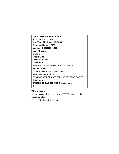**LABEL: DIGI\_CX\_FEPOS\_ERR5 IDENTIFIER:E5771574 Date/Time: Thu Nov 21 15:04:39 Sequence Number: 8795 Machine Id: 003062904D00 Node Id: gainer Class: S Type: PERM Resource Name: Description** ERROR CLOSING FEPOS MICROCODE FILE **Failure Causes** DRIVER CALL TO FP\_CLOSE FAILED **Recommended Actions** CONTACT APPROPRIATE SERVICE REPRESENTATIVE **Detail Data ERROR CODE AS DEFINED IN sys/errno.h 0**

#### **What it means:**

An error occurred while closing the FEP/OS microcode file. **Action to take:** Contact Digi Technical Support.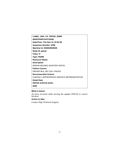**LABEL: DIGI\_CX\_FEPOS\_ERR6 IDENTIFIER:D47C5D56 Date/Time: Thu Nov 21 15:04:39 Sequence Number: 8796 Machine Id: 003062904D00 Node Id: gainer Class: S Type: PERM Resource Name: Description** ERROR MOVING ADAPTER FEPOS **Failure Causes** DRIVER BLK\_MV CALL FAILED **Recommended Actions** CONTACT APPROPRIATE SERVICE REPRESENTATIVE **Detail Data FEPOS STATUS DATA: 0000**

#### **What it means:**

An error occurred while moving the adapter FEP/OS to correct location.

#### **Action to take:**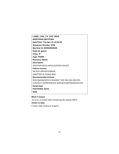**LABEL: DIGI\_CX\_CFG\_BIOS IDENTIFIER:DB7FF5B4 Date/Time: Thu Nov 21 15:04:39 Sequence Number: 8790 Machine Id: 003062904D00 Node Id: gainer Class: S Type: PERM Resource Name: Description** ADAPTER BIOS INITIALIZATION FAILED **Failure Causes** DEVICE DRIVER ERROR. ADAPTER IS GOING BAD. **Recommended Actions** RUN DIAGNOSTICS AGAINST THE FAILING DEVICE CONTACT APPROPRIATE SERVICE REPRESENTATIVE **Detail Data POSTAREA DATA: 0000**

#### **What it means:**

An error occurred while initializing the adapter BIOS.

## **Action to take:**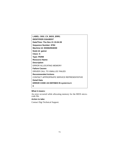**LABEL: DIGI\_CX\_BIOS\_ERR1 IDENTIFIER:316ABD57 Date/Time: Thu Nov 21 15:04:39 Sequence Number: 8784 Machine Id: 003062904D00 Node Id: gainer Class: S Type: PERM Resource Name: Description** ERROR ALLOCATING MEMORY **Failure Causes** DRIVER CALL TO XMALLOC FAILED **Recommended Actions** CONTACT APPROPRIATE SERVICE REPRESENTATIVE **Detail Data ERROR CODE AS DEFINED IN sys/errno.h 0**

## **What it means:**

An error occurred while allocating memory for the BIOS microcode file.

#### **Action to take:**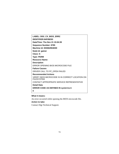| <b>LABEL: DIGI CX BIOS ERR2</b>                                      |
|----------------------------------------------------------------------|
| <b>IDENTIFIER:84F85E93</b>                                           |
| Date/Time: Thu Nov 21 15:04:39                                       |
| Sequence Number: 8785                                                |
| Machine Id: 003062904D00                                             |
| Node Id: gainer                                                      |
| Class: S                                                             |
| <b>Type: PERM</b>                                                    |
| <b>Resource Name:</b>                                                |
| <b>Description</b>                                                   |
| ERROR OPENING BIOS MICROCODE FILE                                    |
| <b>Failure Causes</b>                                                |
| DRIVER CALL TO FP_OPEN FAILED                                        |
| <b>Recommended Actions</b>                                           |
| VERIFY BIOS MICROCODE IS IN CORRECT LOCATION ON<br><b>FILESYSTEM</b> |
| CONTACT APPROPRIATE SERVICE REPRESENTATIVE                           |
| Detail Data                                                          |
| <b>ERROR CODE AS DEFINED IN sys/errno.h</b>                          |
| 0                                                                    |

# **What it means:**

An error occurred while opening the BIOS microcode file.

# **Action to take:**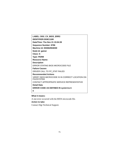| LABEL: DIGI CX BIOS ERR3                                             |
|----------------------------------------------------------------------|
| <b>IDENTIFIER:DD8C1188</b>                                           |
| Date/Time: Thu Nov 21 15:04:39                                       |
| <b>Sequence Number: 8786</b>                                         |
| Machine Id: 003062904D00                                             |
| Node Id: gainer                                                      |
| Class: S                                                             |
| <b>Type: PERM</b>                                                    |
| <b>Resource Name:</b>                                                |
| <b>Description</b>                                                   |
| ERROR STATING BIOS MICROCODE FILE                                    |
| <b>Failure Causes</b>                                                |
| DRIVER CALL TO FP STAT FAILED                                        |
| <b>Recommended Actions</b>                                           |
| VERIFY BIOS MICROCODE IS IN CORRECT LOCATION ON<br><b>FILESYSTEM</b> |
| CONTACT APPROPRIATE SERVICE REPRESENTATIVE                           |
| Detail Data                                                          |
| <b>ERROR CODE AS DEFINED IN sys/errno.h</b>                          |
| 0                                                                    |

# **What it means:**

A stat error occurred with the BIOS microcode file.

# **Action to take:**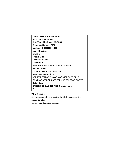**LABEL: DIGI\_CX\_BIOS\_ERR4 IDENTIFIER:7AB28202 Date/Time: Thu Nov 21 15:04:39 Sequence Number: 8787 Machine Id: 003062904D00 Node Id: gainer Class: S Type: PERM Resource Name: Description** ERROR READING BIOS MICROCODE FILE **Failure Causes** DRIVER CALL TO FP\_READ FAILED **Recommended Actions** VERIFY PERMISSIONS OF BIOS MICROCODE FILE CONTACT APPROPRIATE SERVICE REPRESENTATIVE **Detail Data ERROR CODE AS DEFINED IN sys/errno.h 0**

### **What it means:**

An error occurred while reading the BIOS microcode file.

## **Action to take:**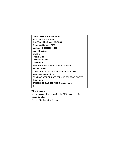**LABEL: DIGI\_CX\_BIOS\_ERR5 IDENTIFIER:BF28EBDA Date/Time: Thu Nov 21 15:04:39 Sequence Number: 8788 Machine Id: 003062904D00 Node Id: gainer Class: S Type: PERM Resource Name: Description** ERROR READING BIOS MICROCODE FILE **Failure Causes** TOO FEW BYTES RETURNED FROM FP\_READ **Recommended Actions** CONTACT APPROPRIATE SERVICE REPRESENTATIVE **Detail Data ERROR CODE AS DEFINED IN sys/errno.h 0**

## **What it means:**

An error occurred while reading the BIOS microcode file. **Action to take:** Contact Digi Technical Support.